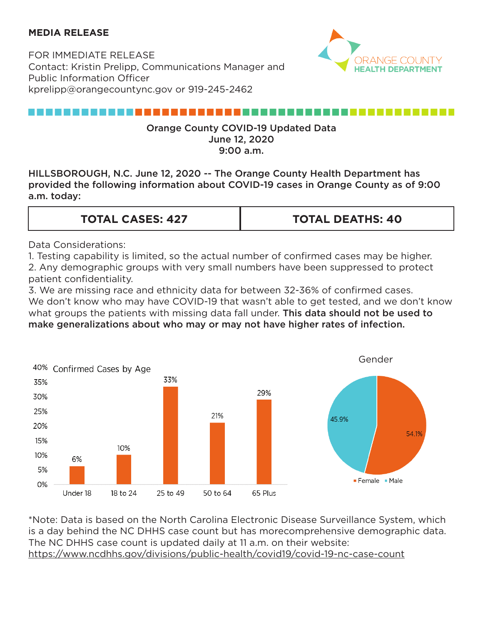## **MEDIA RELEASE**

FOR IMMEDIATE RELEASE Contact: Kristin Prelipp, Communications Manager and Public Information Officer kprelipp@orangecountync.gov or 919-245-2462



## ,,,,,,,,,,,,,,,,,,,,,,,,,,,

### Orange County COVID-19 Updated Data June 12, 2020 9:00 a.m.

HILLSBOROUGH, N.C. June 12, 2020 -- The Orange County Health Department has provided the following information about COVID-19 cases in Orange County as of 9:00 a.m. today:

#### **TOTAL CASES: 427 TOTAL DEATHS: 40**

Data Considerations:

1. Testing capability is limited, so the actual number of confirmed cases may be higher. 2. Any demographic groups with very small numbers have been suppressed to protect patient confidentiality.

3. We are missing race and ethnicity data for between 32-36% of confirmed cases. We don't know who may have COVID-19 that wasn't able to get tested, and we don't know what groups the patients with missing data fall under. This data should not be used to make generalizations about who may or may not have higher rates of infection.



\*Note: Data is based on the North Carolina Electronic Disease Surveillance System, which is a day behind the NC DHHS case count but has morecomprehensive demographic data. The NC DHHS case count is updated daily at 11 a.m. on their website: <https://www.ncdhhs.gov/divisions/public-health/covid19/covid-19-nc-case-count>